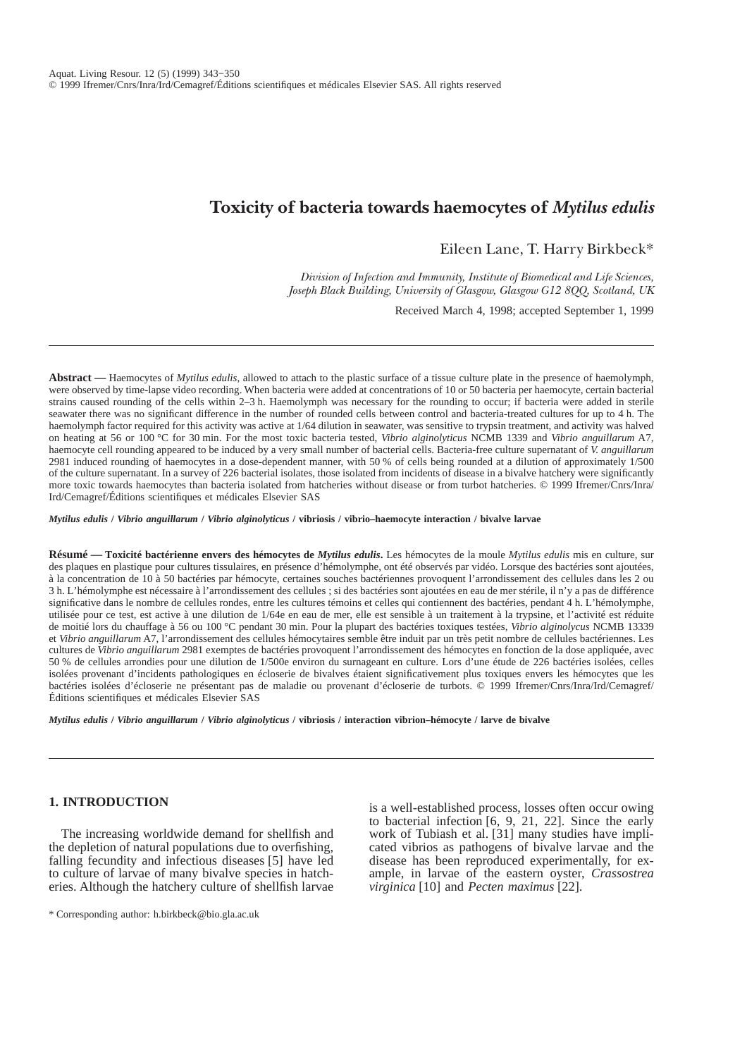# **Toxicity of bacteria towards haemocytes of** *Mytilus edulis*

Eileen Lane, T. Harry Birkbeck\*

*Division of Infection and Immunity, Institute of Biomedical and Life Sciences, Joseph Black Building, University of Glasgow, Glasgow G12 8QQ, Scotland, UK*

Received March 4, 1998; accepted September 1, 1999

**Abstract —** Haemocytes of *Mytilus edulis*, allowed to attach to the plastic surface of a tissue culture plate in the presence of haemolymph, were observed by time-lapse video recording. When bacteria were added at concentrations of 10 or 50 bacteria per haemocyte, certain bacterial strains caused rounding of the cells within 2–3 h. Haemolymph was necessary for the rounding to occur; if bacteria were added in sterile seawater there was no significant difference in the number of rounded cells between control and bacteria-treated cultures for up to 4 h. The haemolymph factor required for this activity was active at 1/64 dilution in seawater, was sensitive to trypsin treatment, and activity was halved on heating at 56 or 100 °C for 30 min. For the most toxic bacteria tested, *Vibrio alginolyticus* NCMB 1339 and *Vibrio anguillarum* A7, haemocyte cell rounding appeared to be induced by a very small number of bacterial cells. Bacteria-free culture supernatant of *V. anguillarum* 2981 induced rounding of haemocytes in a dose-dependent manner, with 50 % of cells being rounded at a dilution of approximately 1/500 of the culture supernatant. In a survey of 226 bacterial isolates, those isolated from incidents of disease in a bivalve hatchery were significantly more toxic towards haemocytes than bacteria isolated from hatcheries without disease or from turbot hatcheries. © 1999 Ifremer/Cnrs/Inra/ Ird/Cemagref/Éditions scientifiques et médicales Elsevier SAS

*Mytilus edulis* **/** *Vibrio anguillarum* **/** *Vibrio alginolyticus* **/ vibriosis / vibrio–haemocyte interaction / bivalve larvae**

**Résumé — Toxicité bactérienne envers des hémocytes de** *Mytilus edulis***.** Les hémocytes de la moule *Mytilus edulis* mis en culture, sur des plaques en plastique pour cultures tissulaires, en présence d'hémolymphe, ont été observés par vidéo. Lorsque des bactéries sont ajoutées, à la concentration de 10 à 50 bactéries par hémocyte, certaines souches bactériennes provoquent l'arrondissement des cellules dans les 2 ou 3 h. L'hémolymphe est nécessaire à l'arrondissement des cellules ; si des bactéries sont ajoutées en eau de mer stérile, il n'y a pas de différence significative dans le nombre de cellules rondes, entre les cultures témoins et celles qui contiennent des bactéries, pendant 4 h. L'hémolymphe, utilisée pour ce test, est active à une dilution de 1/64e en eau de mer, elle est sensible à un traitement à la trypsine, et l'activité est réduite de moitié lors du chauffage à 56 ou 100 °C pendant 30 min. Pour la plupart des bactéries toxiques testées, *Vibrio alginolycus* NCMB 13339 et *Vibrio anguillarum* A7, l'arrondissement des cellules hémocytaires semble être induit par un très petit nombre de cellules bactériennes. Les cultures de *Vibrio anguillarum* 2981 exemptes de bactéries provoquent l'arrondissement des hémocytes en fonction de la dose appliquée, avec 50 % de cellules arrondies pour une dilution de 1/500e environ du surnageant en culture. Lors d'une étude de 226 bactéries isolées, celles isolées provenant d'incidents pathologiques en écloserie de bivalves étaient significativement plus toxiques envers les hémocytes que les bactéries isolées d'écloserie ne présentant pas de maladie ou provenant d'écloserie de turbots. © 1999 Ifremer/Cnrs/Inra/Ird/Cemagref/ Éditions scientifiques et médicales Elsevier SAS

*Mytilus edulis* **/** *Vibrio anguillarum* **/** *Vibrio alginolyticus* **/ vibriosis / interaction vibrion–hémocyte / larve de bivalve**

# **1. INTRODUCTION**

The increasing worldwide demand for shellfish and the depletion of natural populations due to overfishing, falling fecundity and infectious diseases [5] have led to culture of larvae of many bivalve species in hatcheries. Although the hatchery culture of shellfish larvae is a well-established process, losses often occur owing to bacterial infection [6, 9, 21, 22]. Since the early work of Tubiash et al. [31] many studies have implicated vibrios as pathogens of bivalve larvae and the disease has been reproduced experimentally, for example, in larvae of the eastern oyster, *Crassostrea virginica* [10] and *Pecten maximus* [22].

<sup>\*</sup> Corresponding author: h.birkbeck@bio.gla.ac.uk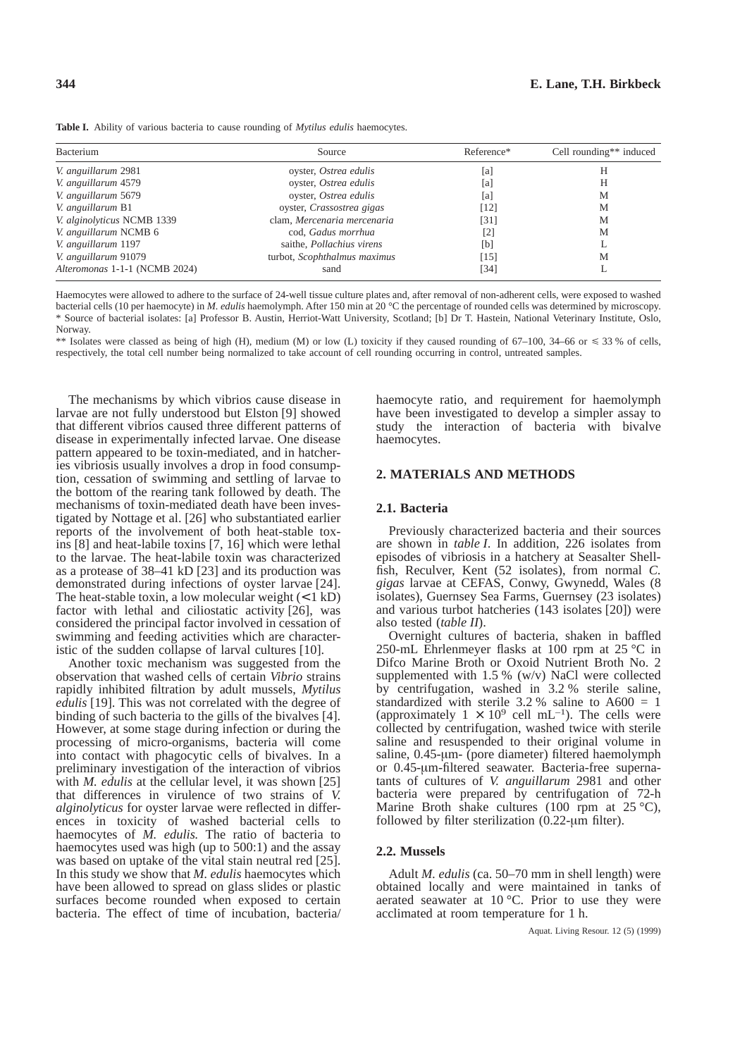**Table I.** Ability of various bacteria to cause rounding of *Mytilus edulis* haemocytes.

| Bacterium                     | Source                           | Reference*        | Cell rounding** induced |  |
|-------------------------------|----------------------------------|-------------------|-------------------------|--|
| V. anguillarum 2981           | oyster, Ostrea edulis            | [a]               | Н                       |  |
| V. anguillarum 4579           | oyster, Ostrea edulis            | [a]               | Н                       |  |
| V. anguillarum 5679           | oyster, Ostrea edulis            | [a]               | М                       |  |
| V. anguillarum B1             | oyster, Crassostrea gigas        | [12]              | М                       |  |
| V. alginolyticus NCMB 1339    | clam, Mercenaria mercenaria      | (31]              | М                       |  |
| V. anguillarum NCMB 6         | cod, Gadus morrhua               | $\left[ 2\right]$ | М                       |  |
| V. anguillarum 1197           | saithe, <i>Pollachius</i> virens | [b]               | ⊥                       |  |
| V. anguillarum 91079          | turbot, Scophthalmus maximus     | [15]              | M                       |  |
| Alteromonas 1-1-1 (NCMB 2024) | sand                             | 341               |                         |  |

Haemocytes were allowed to adhere to the surface of 24-well tissue culture plates and, after removal of non-adherent cells, were exposed to washed bacterial cells (10 per haemocyte) in *M. edulis* haemolymph. After 150 min at 20 °C the percentage of rounded cells was determined by microscopy. \* Source of bacterial isolates: [a] Professor B. Austin, Herriot-Watt University, Scotland; [b] Dr T. Hastein, National Veterinary Institute, Oslo, Norway.

\*\* Isolates were classed as being of high (H), medium (M) or low (L) toxicity if they caused rounding of 67–100, 34–66 or  $\leq 33$  % of cells, respectively, the total cell number being normalized to take account of cell rounding occurring in control, untreated samples.

The mechanisms by which vibrios cause disease in larvae are not fully understood but Elston [9] showed that different vibrios caused three different patterns of disease in experimentally infected larvae. One disease pattern appeared to be toxin-mediated, and in hatcheries vibriosis usually involves a drop in food consumption, cessation of swimming and settling of larvae to the bottom of the rearing tank followed by death. The mechanisms of toxin-mediated death have been investigated by Nottage et al. [26] who substantiated earlier reports of the involvement of both heat-stable toxins [8] and heat-labile toxins [7, 16] which were lethal to the larvae. The heat-labile toxin was characterized as a protease of 38–41 kD [23] and its production was demonstrated during infections of oyster larvae [24]. The heat-stable toxin, a low molecular weight  $(< 1 \text{ kD})$ factor with lethal and ciliostatic activity [26], was considered the principal factor involved in cessation of swimming and feeding activities which are characteristic of the sudden collapse of larval cultures [10].

Another toxic mechanism was suggested from the observation that washed cells of certain *Vibrio* strains rapidly inhibited filtration by adult mussels, *Mytilus edulis* [19]. This was not correlated with the degree of binding of such bacteria to the gills of the bivalves [4]. However, at some stage during infection or during the processing of micro-organisms, bacteria will come into contact with phagocytic cells of bivalves. In a preliminary investigation of the interaction of vibrios with *M. edulis* at the cellular level, it was shown [25] that differences in virulence of two strains of *V. alginolyticus* for oyster larvae were reflected in differences in toxicity of washed bacterial cells to haemocytes of *M. edulis.* The ratio of bacteria to haemocytes used was high (up to 500:1) and the assay was based on uptake of the vital stain neutral red [25]. In this study we show that *M. edulis* haemocytes which have been allowed to spread on glass slides or plastic surfaces become rounded when exposed to certain bacteria. The effect of time of incubation, bacteria/ haemocyte ratio, and requirement for haemolymph have been investigated to develop a simpler assay to study the interaction of bacteria with bivalve haemocytes.

# **2. MATERIALS AND METHODS**

## **2.1. Bacteria**

Previously characterized bacteria and their sources are shown in *table I*. In addition, 226 isolates from episodes of vibriosis in a hatchery at Seasalter Shellfish, Reculver, Kent (52 isolates), from normal *C. gigas* larvae at CEFAS, Conwy, Gwynedd, Wales (8 isolates), Guernsey Sea Farms, Guernsey (23 isolates) and various turbot hatcheries (143 isolates [20]) were also tested (*table II*).

Overnight cultures of bacteria, shaken in baffled 250-mL Ehrlenmeyer flasks at 100 rpm at 25  $^{\circ}$ C in Difco Marine Broth or Oxoid Nutrient Broth No. 2 supplemented with 1.5 % (w/v) NaCl were collected by centrifugation, washed in 3.2 % sterile saline, standardized with sterile  $3.2 %$  saline to  $A600 = 1$ (approximately  $1 \times 10^9$  cell mL<sup>-1</sup>). The cells were collected by centrifugation, washed twice with sterile saline and resuspended to their original volume in saline, 0.45-µm- (pore diameter) filtered haemolymph or 0.45-µm-filtered seawater. Bacteria-free supernatants of cultures of *V. anguillarum* 2981 and other bacteria were prepared by centrifugation of 72-h Marine Broth shake cultures (100 rpm at  $25^{\circ}$ C), followed by filter sterilization (0.22-µm filter).

## **2.2. Mussels**

Adult *M. edulis* (ca. 50–70 mm in shell length) were obtained locally and were maintained in tanks of aerated seawater at 10 °C. Prior to use they were acclimated at room temperature for 1 h.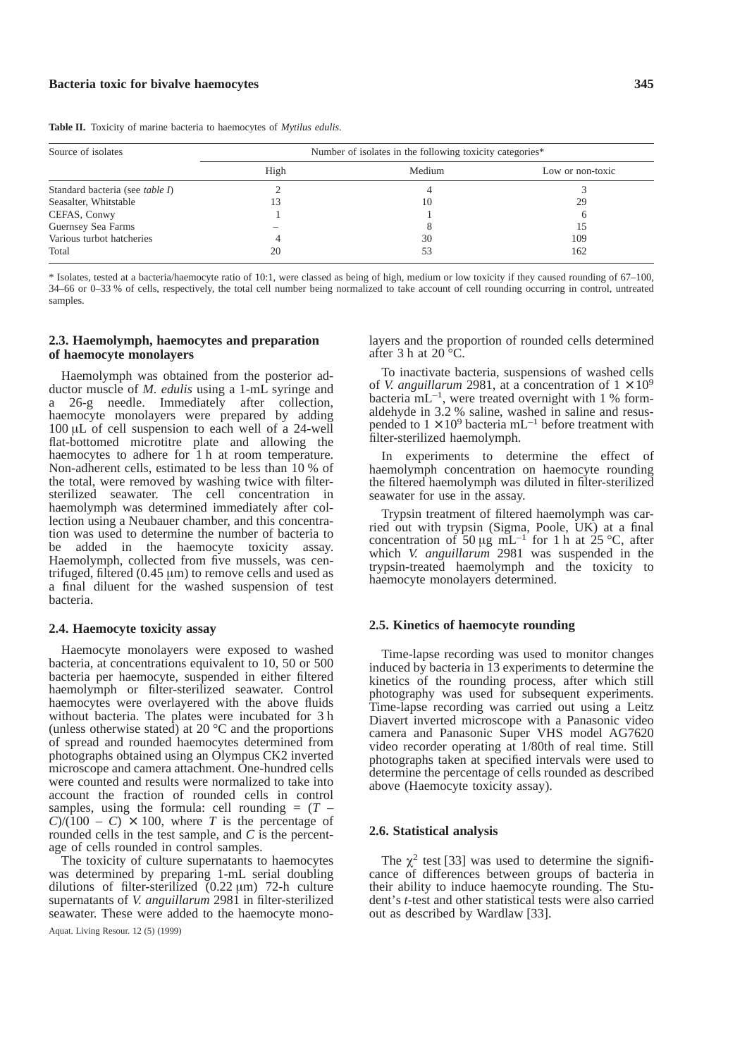**Table II.** Toxicity of marine bacteria to haemocytes of *Mytilus edulis*.

| Source of isolates              | Number of isolates in the following toxicity categories* |        |                  |  |
|---------------------------------|----------------------------------------------------------|--------|------------------|--|
|                                 | High                                                     | Medium | Low or non-toxic |  |
| Standard bacteria (see table I) |                                                          |        |                  |  |
| Seasalter, Whitstable           | ι3                                                       | 10     | 29               |  |
| CEFAS, Conwy                    |                                                          |        |                  |  |
| Guernsey Sea Farms              |                                                          |        | 15               |  |
| Various turbot hatcheries       |                                                          | 30     | 109              |  |
| Total                           | 20                                                       | 53     | 162              |  |

\* Isolates, tested at a bacteria/haemocyte ratio of 10:1, were classed as being of high, medium or low toxicity if they caused rounding of 67–100, 34–66 or 0–33 % of cells, respectively, the total cell number being normalized to take account of cell rounding occurring in control, untreated samples.

## **2.3. Haemolymph, haemocytes and preparation of haemocyte monolayers**

Haemolymph was obtained from the posterior adductor muscle of *M. edulis* using a 1-mL syringe and a 26-g needle. Immediately after collection, haemocyte monolayers were prepared by adding 100 µL of cell suspension to each well of a 24-well flat-bottomed microtitre plate and allowing the haemocytes to adhere for 1 h at room temperature. Non-adherent cells, estimated to be less than 10 % of the total, were removed by washing twice with filtersterilized seawater. The cell concentration in haemolymph was determined immediately after collection using a Neubauer chamber, and this concentration was used to determine the number of bacteria to be added in the haemocyte toxicity assay. Haemolymph, collected from five mussels, was centrifuged, filtered  $(0.45 \mu m)$  to remove cells and used as a final diluent for the washed suspension of test bacteria.

#### **2.4. Haemocyte toxicity assay**

Haemocyte monolayers were exposed to washed bacteria, at concentrations equivalent to 10, 50 or 500 bacteria per haemocyte, suspended in either filtered haemolymph or filter-sterilized seawater. Control haemocytes were overlayered with the above fluids without bacteria. The plates were incubated for 3 h (unless otherwise stated) at 20 $\degree$ C and the proportions of spread and rounded haemocytes determined from photographs obtained using an Olympus CK2 inverted microscope and camera attachment. One-hundred cells were counted and results were normalized to take into account the fraction of rounded cells in control samples, using the formula: cell rounding  $= (T C/(100 - C) \times 100$ , where *T* is the percentage of rounded cells in the test sample, and *C* is the percentage of cells rounded in control samples.

The toxicity of culture supernatants to haemocytes was determined by preparing 1-mL serial doubling dilutions of filter-sterilized  $(0.22 \mu m)$  72-h culture supernatants of *V. anguillarum* 2981 in filter-sterilized seawater. These were added to the haemocyte monolayers and the proportion of rounded cells determined after 3 h at  $20^{\circ}$ C.

To inactivate bacteria, suspensions of washed cells of *V. anguillarum* 2981, at a concentration of  $1 \times 10^9$ bacteria  $mL^{-1}$ , were treated overnight with 1 % formaldehyde in 3.2 % saline, washed in saline and resuspended to  $1 \times 10^9$  bacteria mL<sup>-1</sup> before treatment with filter-sterilized haemolymph.

In experiments to determine the effect of haemolymph concentration on haemocyte rounding the filtered haemolymph was diluted in filter-sterilized seawater for use in the assay.

Trypsin treatment of filtered haemolymph was carried out with trypsin (Sigma, Poole, UK) at a final concentration of 50  $\mu$ g mL<sup>-1</sup> for 1 h at 25 °C, after which *V. anguillarum* 2981 was suspended in the trypsin-treated haemolymph and the toxicity to haemocyte monolayers determined.

#### **2.5. Kinetics of haemocyte rounding**

Time-lapse recording was used to monitor changes induced by bacteria in 13 experiments to determine the kinetics of the rounding process, after which still photography was used for subsequent experiments. Time-lapse recording was carried out using a Leitz Diavert inverted microscope with a Panasonic video camera and Panasonic Super VHS model AG7620 video recorder operating at 1/80th of real time. Still photographs taken at specified intervals were used to determine the percentage of cells rounded as described above (Haemocyte toxicity assay).

## **2.6. Statistical analysis**

The  $\chi^2$  test [33] was used to determine the significance of differences between groups of bacteria in their ability to induce haemocyte rounding. The Student's *t*-test and other statistical tests were also carried out as described by Wardlaw [33].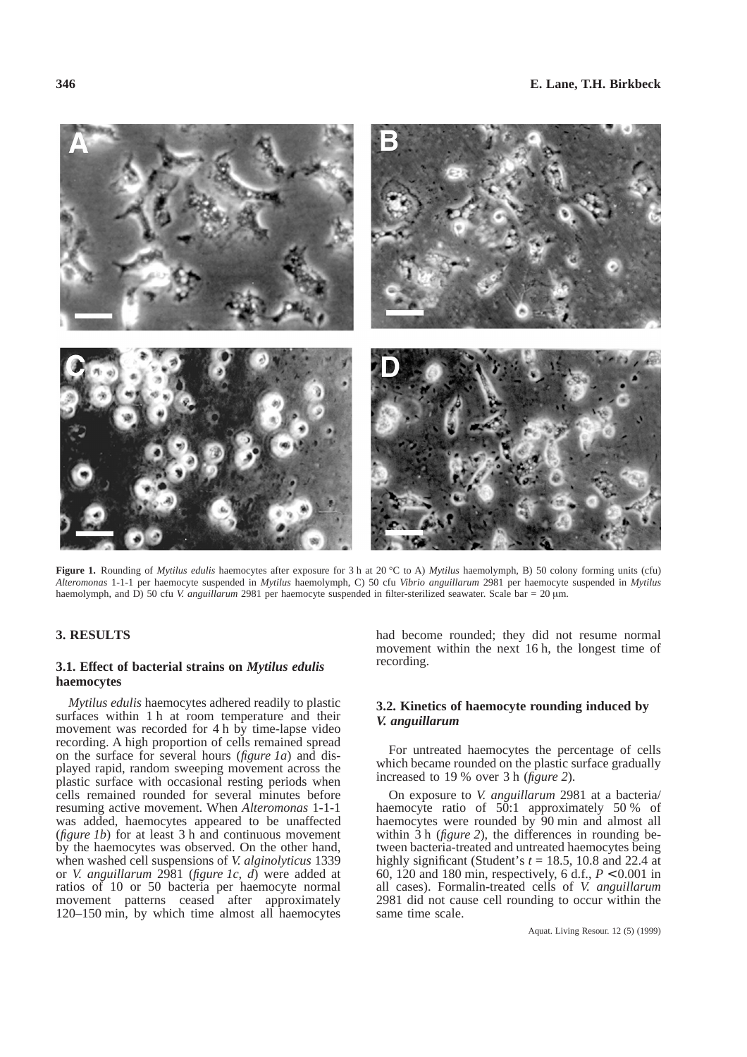**Figure 1.** Rounding of *Mytilus edulis* haemocytes after exposure for 3 h at 20 °C to A) *Mytilus* haemolymph, B) 50 colony forming units (cfu) *Alteromonas* 1-1-1 per haemocyte suspended in *Mytilus* haemolymph, C) 50 cfu *Vibrio anguillarum* 2981 per haemocyte suspended in *Mytilus* haemolymph, and D) 50 cfu *V. anguillarum* 2981 per haemocyte suspended in filter-sterilized seawater. Scale bar = 20 µm.

# **3. RESULTS**

## **3.1. Effect of bacterial strains on** *Mytilus edulis* **haemocytes**

*Mytilus edulis* haemocytes adhered readily to plastic surfaces within 1 h at room temperature and their movement was recorded for 4 h by time-lapse video recording. A high proportion of cells remained spread on the surface for several hours (*figure 1a*) and displayed rapid, random sweeping movement across the plastic surface with occasional resting periods when cells remained rounded for several minutes before resuming active movement. When *Alteromonas* 1-1-1 was added, haemocytes appeared to be unaffected (*figure 1b*) for at least 3 h and continuous movement by the haemocytes was observed. On the other hand, when washed cell suspensions of *V. alginolyticus* 1339 or *V. anguillarum* 2981 (*figure 1c, d*) were added at ratios of 10 or 50 bacteria per haemocyte normal movement patterns ceased after approximately 120–150 min, by which time almost all haemocytes had become rounded; they did not resume normal movement within the next 16 h, the longest time of recording.

## **3.2. Kinetics of haemocyte rounding induced by** *V. anguillarum*

For untreated haemocytes the percentage of cells which became rounded on the plastic surface gradually increased to 19 % over 3 h (*figure 2*).

On exposure to *V. anguillarum* 2981 at a bacteria/ haemocyte ratio of 50:1 approximately 50 % of haemocytes were rounded by 90 min and almost all within 3 h (*figure 2*), the differences in rounding between bacteria-treated and untreated haemocytes being highly significant (Student's  $t = 18.5$ , 10.8 and 22.4 at 60, 120 and 180 min, respectively, 6 d.f., *P* < 0.001 in all cases). Formalin-treated cells of *V. anguillarum* 2981 did not cause cell rounding to occur within the same time scale.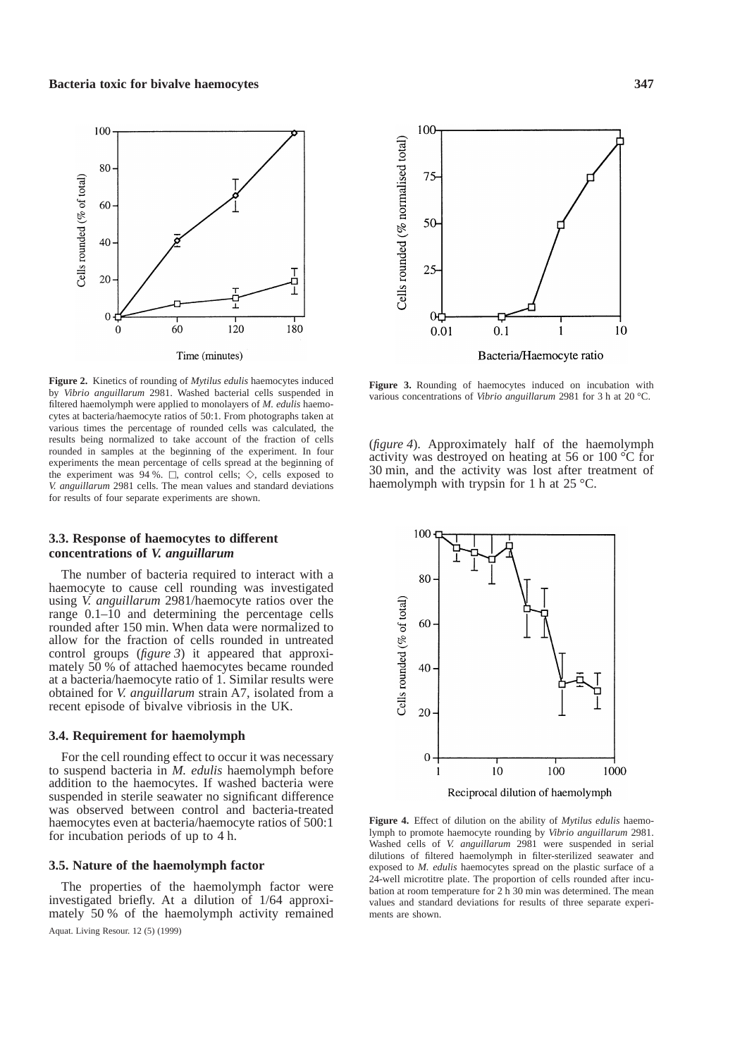

**Figure 2.** Kinetics of rounding of *Mytilus edulis* haemocytes induced by *Vibrio anguillarum* 2981. Washed bacterial cells suspended in filtered haemolymph were applied to monolayers of *M. edulis* haemocytes at bacteria/haemocyte ratios of 50:1. From photographs taken at various times the percentage of rounded cells was calculated, the results being normalized to take account of the fraction of cells rounded in samples at the beginning of the experiment. In four experiments the mean percentage of cells spread at the beginning of the experiment was 94 %.  $\Box$ , control cells;  $\diamondsuit$ , cells exposed to *V. anguillarum* 2981 cells. The mean values and standard deviations for results of four separate experiments are shown.

#### **3.3. Response of haemocytes to different concentrations of** *V. anguillarum*

The number of bacteria required to interact with a haemocyte to cause cell rounding was investigated using *V. anguillarum* 2981/haemocyte ratios over the range 0.1–10 and determining the percentage cells rounded after 150 min. When data were normalized to allow for the fraction of cells rounded in untreated control groups (*figure 3*) it appeared that approximately 50 % of attached haemocytes became rounded at a bacteria/haemocyte ratio of 1. Similar results were obtained for *V. anguillarum* strain A7, isolated from a recent episode of bivalve vibriosis in the UK.

#### **3.4. Requirement for haemolymph**

For the cell rounding effect to occur it was necessary to suspend bacteria in *M. edulis* haemolymph before addition to the haemocytes. If washed bacteria were suspended in sterile seawater no significant difference was observed between control and bacteria-treated haemocytes even at bacteria/haemocyte ratios of 500:1 for incubation periods of up to 4 h.

#### **3.5. Nature of the haemolymph factor**

The properties of the haemolymph factor were investigated briefly. At a dilution of 1/64 approximately 50 % of the haemolymph activity remained



**Figure 3.** Rounding of haemocytes induced on incubation with various concentrations of *Vibrio anguillarum* 2981 for 3 h at 20 °C.

(*figure 4*). Approximately half of the haemolymph activity was destroyed on heating at 56 or 100 °C for 30 min, and the activity was lost after treatment of haemolymph with trypsin for 1 h at 25 °C.



**Figure 4.** Effect of dilution on the ability of *Mytilus edulis* haemolymph to promote haemocyte rounding by *Vibrio anguillarum* 2981. Washed cells of *V. anguillarum* 2981 were suspended in serial dilutions of filtered haemolymph in filter-sterilized seawater and exposed to *M. edulis* haemocytes spread on the plastic surface of a 24-well microtitre plate. The proportion of cells rounded after incubation at room temperature for 2 h 30 min was determined. The mean values and standard deviations for results of three separate experiments are shown.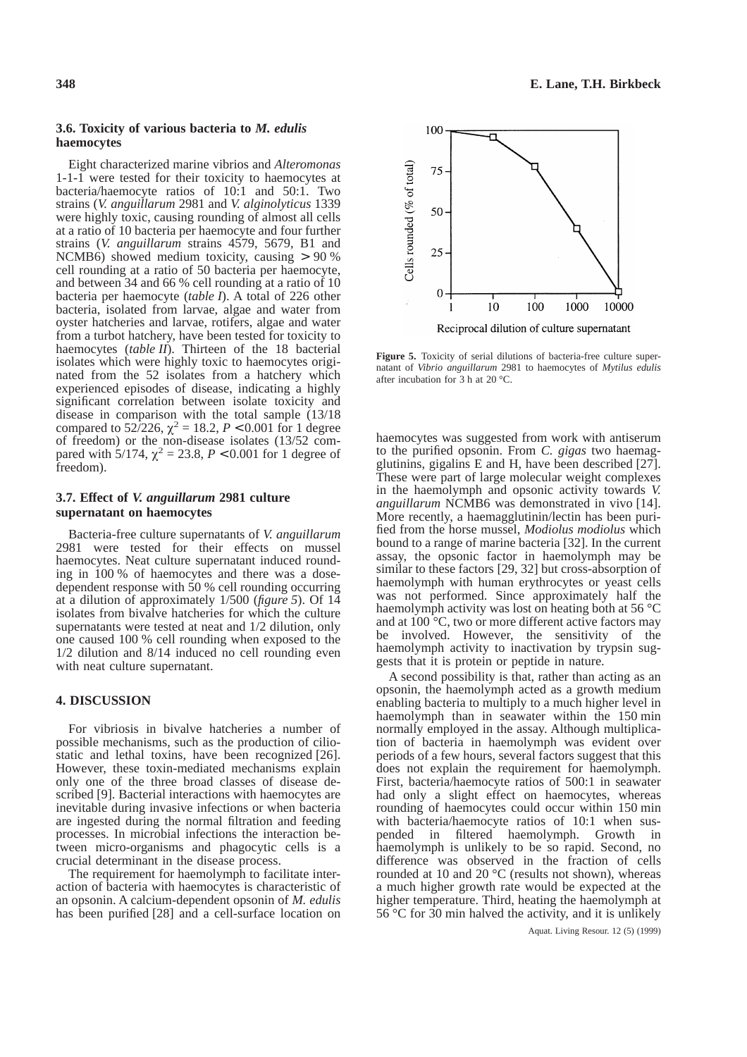## **3.6. Toxicity of various bacteria to** *M. edulis* **haemocytes**

Eight characterized marine vibrios and *Alteromonas* 1-1-1 were tested for their toxicity to haemocytes at bacteria/haemocyte ratios of 10:1 and 50:1. Two strains (*V. anguillarum* 2981 and *V. alginolyticus* 1339 were highly toxic, causing rounding of almost all cells at a ratio of 10 bacteria per haemocyte and four further strains (*V. anguillarum* strains 4579, 5679, B1 and NCMB6) showed medium toxicity, causing > 90 % cell rounding at a ratio of 50 bacteria per haemocyte, and between 34 and 66 % cell rounding at a ratio of 10 bacteria per haemocyte (*table I*). A total of 226 other bacteria, isolated from larvae, algae and water from oyster hatcheries and larvae, rotifers, algae and water from a turbot hatchery, have been tested for toxicity to haemocytes (*table II*). Thirteen of the 18 bacterial isolates which were highly toxic to haemocytes originated from the 52 isolates from a hatchery which experienced episodes of disease, indicating a highly significant correlation between isolate toxicity and disease in comparison with the total sample (13/18 compared to 52/226,  $\chi^2 = 18.2$ ,  $P < 0.001$  for 1 degree of freedom) or the non-disease isolates (13/52 compared with  $5/174$ ,  $\chi^2 = 23.8$ ,  $P < 0.001$  for 1 degree of freedom).

## **3.7. Effect of** *V. anguillarum* **2981 culture supernatant on haemocytes**

Bacteria-free culture supernatants of *V. anguillarum* 2981 were tested for their effects on mussel haemocytes. Neat culture supernatant induced rounding in 100 % of haemocytes and there was a dosedependent response with 50 % cell rounding occurring at a dilution of approximately 1/500 (*figure 5*). Of 14 isolates from bivalve hatcheries for which the culture supernatants were tested at neat and 1/2 dilution, only one caused 100 % cell rounding when exposed to the 1/2 dilution and 8/14 induced no cell rounding even with neat culture supernatant.

#### **4. DISCUSSION**

For vibriosis in bivalve hatcheries a number of possible mechanisms, such as the production of ciliostatic and lethal toxins, have been recognized [26]. However, these toxin-mediated mechanisms explain only one of the three broad classes of disease described [9]. Bacterial interactions with haemocytes are inevitable during invasive infections or when bacteria are ingested during the normal filtration and feeding processes. In microbial infections the interaction between micro-organisms and phagocytic cells is a crucial determinant in the disease process.

The requirement for haemolymph to facilitate interaction of bacteria with haemocytes is characteristic of an opsonin. A calcium-dependent opsonin of *M. edulis* has been purified [28] and a cell-surface location on



**Figure 5.** Toxicity of serial dilutions of bacteria-free culture supernatant of *Vibrio anguillarum* 2981 to haemocytes of *Mytilus edulis* after incubation for 3 h at 20 °C.

haemocytes was suggested from work with antiserum to the purified opsonin. From *C. gigas* two haemagglutinins, gigalins E and H, have been described [27]. These were part of large molecular weight complexes in the haemolymph and opsonic activity towards *V. anguillarum* NCMB6 was demonstrated in vivo [14]. More recently, a haemagglutinin/lectin has been purified from the horse mussel, *Modiolus modiolus* which bound to a range of marine bacteria [32]. In the current assay, the opsonic factor in haemolymph may be similar to these factors [29, 32] but cross-absorption of haemolymph with human erythrocytes or yeast cells was not performed. Since approximately half the haemolymph activity was lost on heating both at 56 °C and at 100 °C, two or more different active factors may be involved. However, the sensitivity of the haemolymph activity to inactivation by trypsin suggests that it is protein or peptide in nature.

A second possibility is that, rather than acting as an opsonin, the haemolymph acted as a growth medium enabling bacteria to multiply to a much higher level in haemolymph than in seawater within the 150 min normally employed in the assay. Although multiplication of bacteria in haemolymph was evident over periods of a few hours, several factors suggest that this does not explain the requirement for haemolymph. First, bacteria/haemocyte ratios of 500:1 in seawater had only a slight effect on haemocytes, whereas rounding of haemocytes could occur within 150 min with bacteria/haemocyte ratios of 10:1 when suspended in filtered haemolymph. Growth in haemolymph is unlikely to be so rapid. Second, no difference was observed in the fraction of cells rounded at 10 and 20 °C (results not shown), whereas a much higher growth rate would be expected at the higher temperature. Third, heating the haemolymph at 56 °C for 30 min halved the activity, and it is unlikely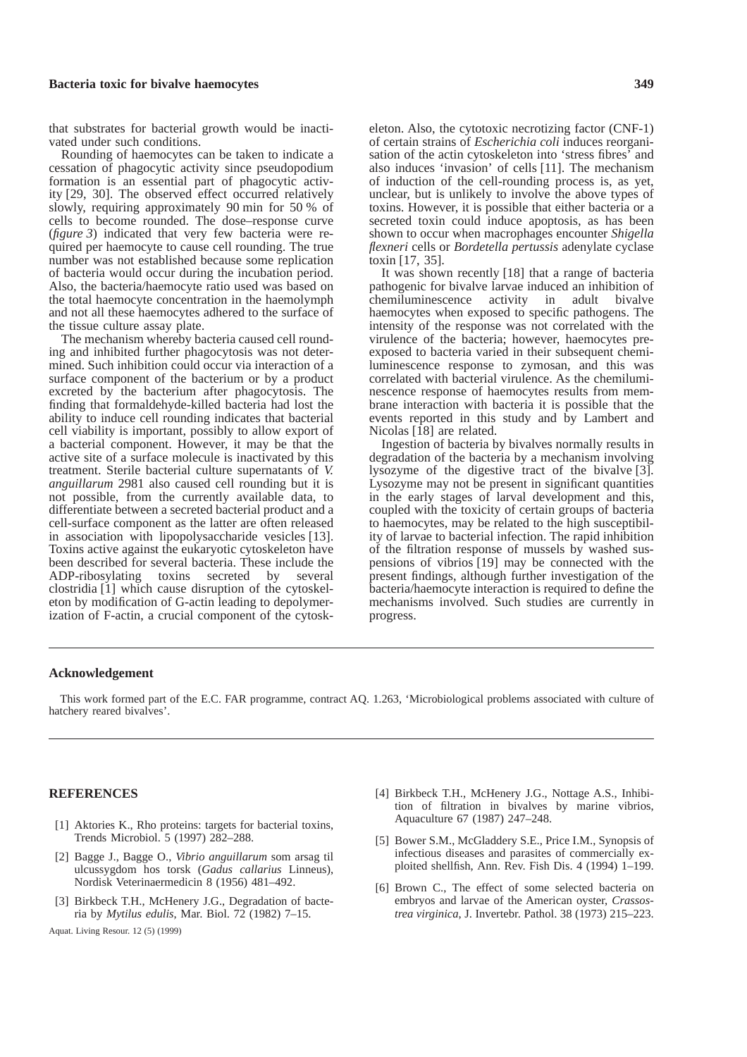### **Bacteria toxic for bivalve haemocytes 349**

that substrates for bacterial growth would be inactivated under such conditions.

Rounding of haemocytes can be taken to indicate a cessation of phagocytic activity since pseudopodium formation is an essential part of phagocytic activity [29, 30]. The observed effect occurred relatively slowly, requiring approximately 90 min for 50 % of cells to become rounded. The dose–response curve (*figure 3*) indicated that very few bacteria were required per haemocyte to cause cell rounding. The true number was not established because some replication of bacteria would occur during the incubation period. Also, the bacteria/haemocyte ratio used was based on the total haemocyte concentration in the haemolymph and not all these haemocytes adhered to the surface of the tissue culture assay plate.

The mechanism whereby bacteria caused cell rounding and inhibited further phagocytosis was not determined. Such inhibition could occur via interaction of a surface component of the bacterium or by a product excreted by the bacterium after phagocytosis. The finding that formaldehyde-killed bacteria had lost the ability to induce cell rounding indicates that bacterial cell viability is important, possibly to allow export of a bacterial component. However, it may be that the active site of a surface molecule is inactivated by this treatment. Sterile bacterial culture supernatants of *V. anguillarum* 2981 also caused cell rounding but it is not possible, from the currently available data, to differentiate between a secreted bacterial product and a cell-surface component as the latter are often released in association with lipopolysaccharide vesicles [13]. Toxins active against the eukaryotic cytoskeleton have been described for several bacteria. These include the ADP-ribosylating toxins secreted by several clostridia [1] which cause disruption of the cytoskeleton by modification of G-actin leading to depolymerization of F-actin, a crucial component of the cytoskeleton. Also, the cytotoxic necrotizing factor (CNF-1) of certain strains of *Escherichia coli* induces reorganisation of the actin cytoskeleton into 'stress fibres' and also induces 'invasion' of cells [11]. The mechanism of induction of the cell-rounding process is, as yet, unclear, but is unlikely to involve the above types of toxins. However, it is possible that either bacteria or a secreted toxin could induce apoptosis, as has been shown to occur when macrophages encounter *Shigella flexneri* cells or *Bordetella pertussis* adenylate cyclase toxin [17, 35].

It was shown recently [18] that a range of bacteria pathogenic for bivalve larvae induced an inhibition of chemiluminescence activity in adult bivalve haemocytes when exposed to specific pathogens. The intensity of the response was not correlated with the virulence of the bacteria; however, haemocytes preexposed to bacteria varied in their subsequent chemiluminescence response to zymosan, and this was correlated with bacterial virulence. As the chemiluminescence response of haemocytes results from membrane interaction with bacteria it is possible that the events reported in this study and by Lambert and Nicolas [18] are related.

Ingestion of bacteria by bivalves normally results in degradation of the bacteria by a mechanism involving lysozyme of the digestive tract of the bivalve [3]. Lysozyme may not be present in significant quantities in the early stages of larval development and this, coupled with the toxicity of certain groups of bacteria to haemocytes, may be related to the high susceptibility of larvae to bacterial infection. The rapid inhibition of the filtration response of mussels by washed suspensions of vibrios [19] may be connected with the present findings, although further investigation of the bacteria/haemocyte interaction is required to define the mechanisms involved. Such studies are currently in progress.

#### **Acknowledgement**

This work formed part of the E.C. FAR programme, contract AQ. 1.263, 'Microbiological problems associated with culture of hatchery reared bivalves'.

#### **REFERENCES**

- [1] Aktories K., Rho proteins: targets for bacterial toxins, Trends Microbiol. 5 (1997) 282–288.
- [2] Bagge J., Bagge O., *Vibrio anguillarum* som arsag til ulcussygdom hos torsk (*Gadus callarius* Linneus), Nordisk Veterinaermedicin 8 (1956) 481–492.
- [3] Birkbeck T.H., McHenery J.G., Degradation of bacteria by *Mytilus edulis*, Mar. Biol. 72 (1982) 7–15.
- [4] Birkbeck T.H., McHenery J.G., Nottage A.S., Inhibition of filtration in bivalves by marine vibrios, Aquaculture 67 (1987) 247–248.
- [5] Bower S.M., McGladdery S.E., Price I.M., Synopsis of infectious diseases and parasites of commercially exploited shellfish, Ann. Rev. Fish Dis. 4 (1994) 1–199.
- [6] Brown C., The effect of some selected bacteria on embryos and larvae of the American oyster, *Crassostrea virginica*, J. Invertebr. Pathol. 38 (1973) 215–223.